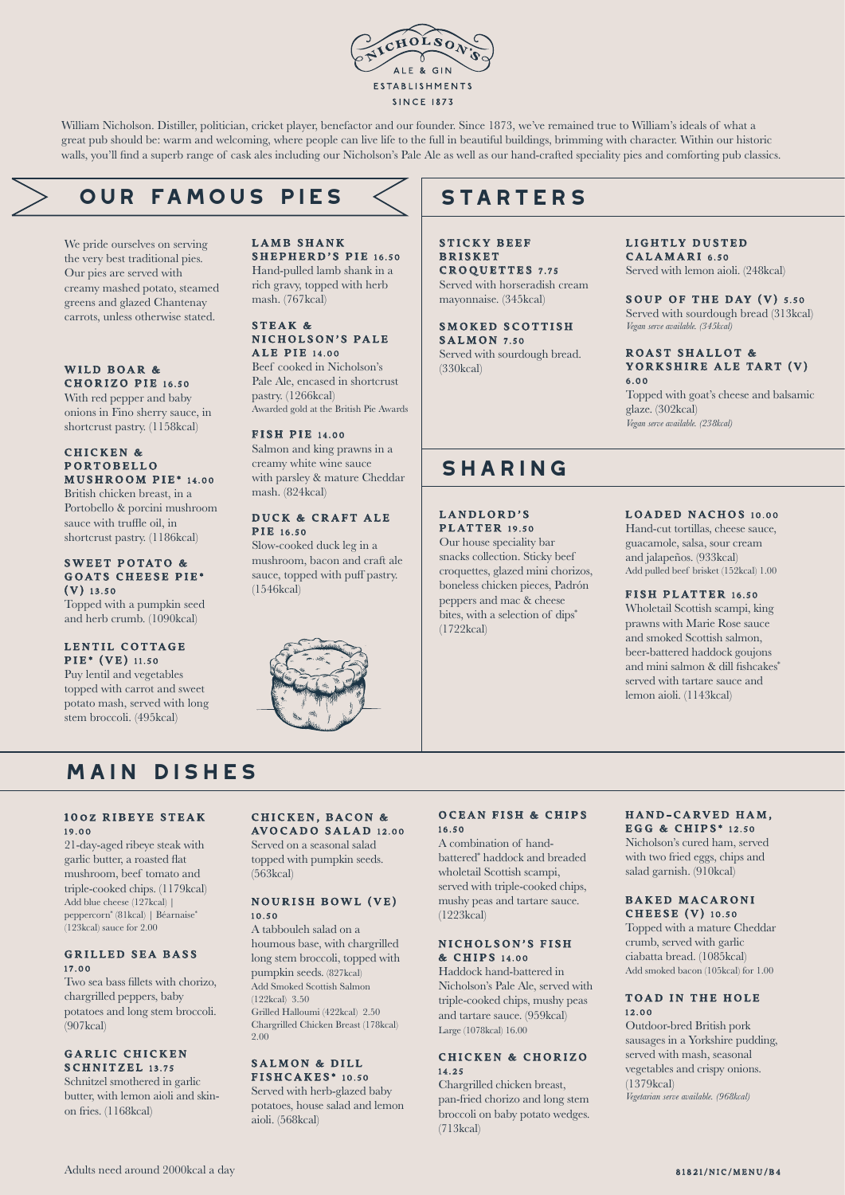

William Nicholson. Distiller, politician, cricket player, benefactor and our founder. Since 1873, we've remained true to William's ideals of what a great pub should be: warm and welcoming, where people can live life to the full in beautiful buildings, brimming with character. Within our historic walls, you'll find a superb range of cask ales including our Nicholson's Pale Ale as well as our hand-crafted speciality pies and comforting pub classics.

# **our famous PIES**

We pride ourselves on serving the very best traditional pies. Our pies are served with creamy mashed potato, steamed greens and glazed Chantenay carrots, unless otherwise stated.

#### WILD BOAR & CHORIZO PIE 16.50

With red pepper and baby onions in Fino sherry sauce, in shortcrust pastry. (1158kcal)

#### CHICKEN & P ORTOBELLO MUSHROOM PIE\* 14.00

British chicken breast, in a Portobello & porcini mushroom sauce with truffle oil, in shortcrust pastry. (1186kcal)

#### SWEET POTATO & GOATS CHEESE PIE\* (V) 13.50

Topped with a pumpkin seed and herb crumb. (1090kcal)

#### LENTIL COTTAGE PIE\* (VE) 11.50

Puy lentil and vegetables topped with carrot and sweet potato mash, served with long stem broccoli. (495kcal)

#### LAMB SHANK SHEPHERD'S PIE 16.50 Hand-pulled lamb shank in a rich gravy, topped with herb mash. (767kcal)

#### STEAK & NICHOLSON'S PALE **ALE PIE 14.00**

Beef cooked in Nicholson's Pale Ale, encased in shortcrust pastry. (1266kcal) Awarded gold at the British Pie Awards

#### FISH PIE 14.00

Salmon and king prawns in a creamy white wine sauce with parsley & mature Cheddar mash. (824kcal)

#### DUCK & CRAFT ALE **PIR** 16.50

Slow-cooked duck leg in a mushroom, bacon and craft ale sauce, topped with puff pastry. (1546kcal)



# **STARTERS**

STICKY BEEF **BRISKET** CROQUETTES 7.75 Served with horseradish cream mayonnaise. (345kcal)

SMOKED SCOTTISH  $S$  A L M ON  $7.50$ Served with sourdough bread. (330kcal)

### LIGHTLY DUSTED

CALAMARI 6.50 Served with lemon aioli. (248kcal)

#### SOUP OF THE DAY (V) 5.50 Served with sourdough bread (313kcal) *Vegan serve available. (345kcal)*

#### ROAST SHALLOT & YORKSHIRE ALE TART (V) 6.00

Topped with goat's cheese and balsamic glaze. (302kcal) *Vegan serve available. (238kcal)*

## **sharing**

LANDLORD'S PLATTER 19.50

Our house speciality bar snacks collection. Sticky beef croquettes, glazed mini chorizos, boneless chicken pieces, Padrón peppers and mac & cheese bites, with a selection of dips<sup>\*</sup> (1722kcal)

#### LOADED NACHOS 10.00

Hand-cut tortillas, cheese sauce, guacamole, salsa, sour cream and jalapeños. (933kcal) Add pulled beef brisket (152kcal) 1.00

#### FISH PLATTER 16.50

Wholetail Scottish scampi, king prawns with Marie Rose sauce and smoked Scottish salmon, beer-battered haddock goujons and mini salmon & dill fishcakes\* served with tartare sauce and lemon aioli. (1143kcal)

# **main dishes**

#### 100Z RIBEYE STEAK 19.00

21-day-aged ribeye steak with garlic butter, a roasted flat mushroom, beef tomato and triple-cooked chips. (1179kcal) Add blue cheese (127kcal) | peppercorn\* (81kcal) | Béarnaise\* (123kcal) sauce for 2.00

#### GRILLED SEA BASS 17.00

Two sea bass fillets with chorizo, chargrilled peppers, baby potatoes and long stem broccoli.  $(907$ kcal)

#### GARLIC CHICKEN SCHNITZEL 13.75

Schnitzel smothered in garlic butter, with lemon aioli and skinon fries. (1168kcal)

#### CHICKEN, BACON & AVOCADO SALAD 12.00

Served on a seasonal salad topped with pumpkin seeds. (563kcal)

#### NOURISH BOWL (VE) 10.50

A tabbouleh salad on a houmous base, with chargrilled long stem broccoli, topped with pumpkin seeds. (827kcal) Add Smoked Scottish Salmon (122kcal) 3.50 Grilled Halloumi (422kcal) 2.50 Chargrilled Chicken Breast (178kcal) 2.00

#### SALMON & DILL FISHCAKES\* 10.50

Served with herb-glazed baby potatoes, house salad and lemon aioli. (568kcal)

#### OCEAN FISH & CHIPS 16.50

A combination of handbattered\* haddock and breaded wholetail Scottish scampi, served with triple-cooked chips, mushy peas and tartare sauce. (1223kcal)

#### NICHOLSON'S FISH & C HIPS 14.00

Haddock hand-battered in Nicholson's Pale Ale, served with triple-cooked chips, mushy peas and tartare sauce. (959kcal) Large (1078kcal) 16.00

#### CHICKEN & CHORIZO 14.25

Chargrilled chicken breast pan-fried chorizo and long stem broccoli on baby potato wedges. (713kcal)

#### HAND-CARVED HAM. EGG & CHIPS<sup>\*</sup> 12.50

Nicholson's cured ham, served with two fried eggs, chips and salad garnish. (910kcal)

#### BAKED MACARONI CHEESE (V) 10.50

Topped with a mature Cheddar crumb, served with garlic ciabatta bread. (1085kcal) Add smoked bacon (105kcal) for 1.00

#### TOAD IN THE HOLE 12.00

Outdoor-bred British pork sausages in a Yorkshire pudding, served with mash, seasonal vegetables and crispy onions. (1379kcal) *Vegetarian serve available. (968kcal)*